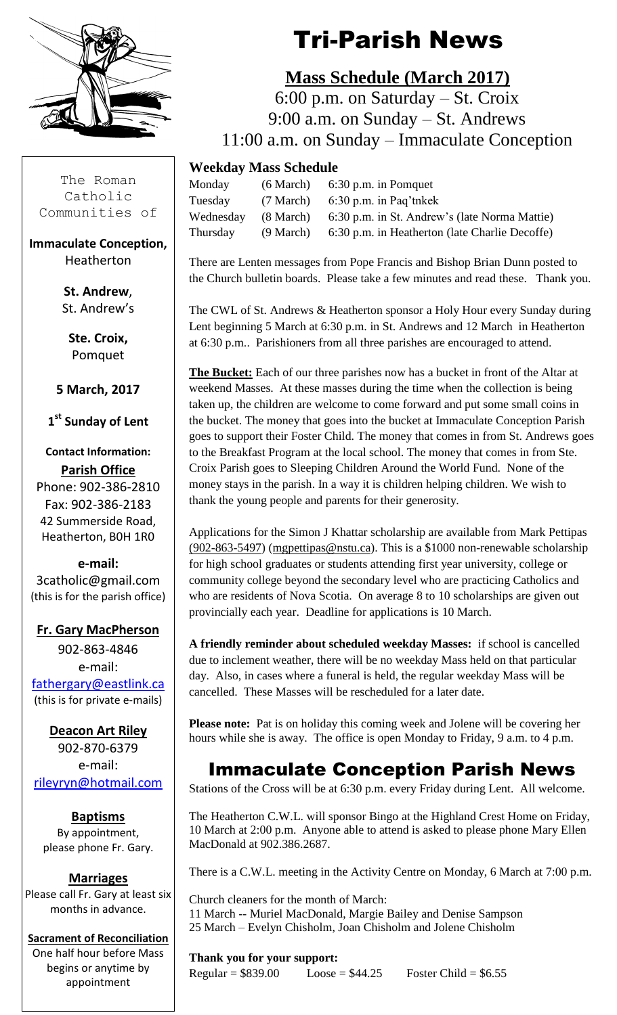

The Roman Catholic Communities of

**Immaculate Conception,** Heatherton

> **St. Andrew**, St. Andrew's

**Ste. Croix,** Pomquet

**5 March, 2017**

**1 st Sunday of Lent**

**Contact Information: Parish Office** Phone: 902-386-2810 Fax: 902-386-2183 42 Summerside Road, Heatherton, B0H 1R0

**e-mail:** 3catholic@gmail.com (this is for the parish office)

#### **Fr. Gary MacPherson**

902-863-4846 e-mail: [fathergary@eastlink.ca](mailto:fathergary@eastlink.ca) (this is for private e-mails)

**Deacon Art Riley** 902-870-6379 e-mail: [rileyryn@hotmail.com](mailto:rileyryn@hotmail.com)

**Baptisms** By appointment, please phone Fr. Gary.

**Marriages** Please call Fr. Gary at least six months in advance.

**Sacrament of Reconciliation** One half hour before Mass begins or anytime by appointment

# Tri-Parish News

### **Mass Schedule (March 2017)**

 6:00 p.m. on Saturday – St. Croix 9:00 a.m. on Sunday – St. Andrews 11:00 a.m. on Sunday – Immaculate Conception

#### **Weekday Mass Schedule**

| Monday    | $(6 \text{ March})$ 6:30 p.m. in Pomquet                 |
|-----------|----------------------------------------------------------|
| Tuesday   | $(7 \text{ March})$ 6:30 p.m. in Paq'tnkek               |
| Wednesday | (8 March) 6:30 p.m. in St. Andrew's (late Norma Mattie)  |
| Thursday  | (9 March) 6:30 p.m. in Heatherton (late Charlie Decoffe) |

There are Lenten messages from Pope Francis and Bishop Brian Dunn posted to the Church bulletin boards. Please take a few minutes and read these. Thank you.

The CWL of St. Andrews & Heatherton sponsor a Holy Hour every Sunday during Lent beginning 5 March at 6:30 p.m. in St. Andrews and 12 March in Heatherton at 6:30 p.m.. Parishioners from all three parishes are encouraged to attend.

**The Bucket:** Each of our three parishes now has a bucket in front of the Altar at weekend Masses. At these masses during the time when the collection is being taken up, the children are welcome to come forward and put some small coins in the bucket. The money that goes into the bucket at Immaculate Conception Parish goes to support their Foster Child. The money that comes in from St. Andrews goes to the Breakfast Program at the local school. The money that comes in from Ste. Croix Parish goes to Sleeping Children Around the World Fund. None of the money stays in the parish. In a way it is children helping children. We wish to thank the young people and parents for their generosity.

Applications for the Simon J Khattar scholarship are available from Mark Pettipas [\(902-863-5497\)](tel:(902)%20863-5497) [\(mgpettipas@nstu.ca\)](mailto:mgpettipas@nstu.ca). This is a \$1000 non-renewable scholarship for high school graduates or students attending first year university, college or community college beyond the secondary level who are practicing Catholics and who are residents of Nova Scotia. On average 8 to 10 scholarships are given out provincially each year. Deadline for applications is 10 March.

**A friendly reminder about scheduled weekday Masses:** if school is cancelled due to inclement weather, there will be no weekday Mass held on that particular day. Also, in cases where a funeral is held, the regular weekday Mass will be cancelled. These Masses will be rescheduled for a later date.

**Please note:** Pat is on holiday this coming week and Jolene will be covering her hours while she is away. The office is open Monday to Friday, 9 a.m. to 4 p.m.

### Immaculate Conception Parish News

Stations of the Cross will be at 6:30 p.m. every Friday during Lent. All welcome.

The Heatherton C.W.L. will sponsor Bingo at the Highland Crest Home on Friday, 10 March at 2:00 p.m. Anyone able to attend is asked to please phone Mary Ellen MacDonald at 902.386.2687.

There is a C.W.L. meeting in the Activity Centre on Monday, 6 March at 7:00 p.m.

Church cleaners for the month of March: 11 March -- Muriel MacDonald, Margie Bailey and Denise Sampson 25 March – Evelyn Chisholm, Joan Chisholm and Jolene Chisholm

**Thank you for your support:**  $Regular = $839.00$   $Loose = $44.25$   $Foster Child = $6.55$